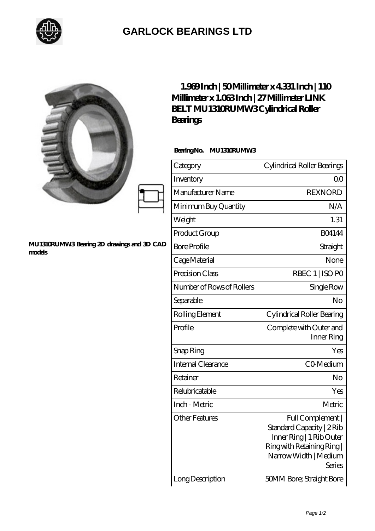

## **[GARLOCK BEARINGS LTD](https://m.letterstopriests.com)**

|                                                      | 1.939Inch   50Millimeter x 4331 Inch   110<br>Millimeter x 1.063Inch   27 Millimeter LINK<br><b>BELT MU1310RUMW3Cylindrical Roller</b><br>Bearings |                                                                                                                                          |
|------------------------------------------------------|----------------------------------------------------------------------------------------------------------------------------------------------------|------------------------------------------------------------------------------------------------------------------------------------------|
|                                                      | BearingNo.<br>MU1310RUMW3                                                                                                                          |                                                                                                                                          |
|                                                      | Category                                                                                                                                           | Cylindrical Roller Bearings                                                                                                              |
|                                                      | Inventory                                                                                                                                          | 0 <sub>0</sub>                                                                                                                           |
|                                                      | Manufacturer Name                                                                                                                                  | <b>REXNORD</b>                                                                                                                           |
|                                                      | Minimum Buy Quantity                                                                                                                               | N/A                                                                                                                                      |
|                                                      | Weight                                                                                                                                             | 1.31                                                                                                                                     |
|                                                      | Product Group                                                                                                                                      | <b>BO4144</b>                                                                                                                            |
| MU1310RUMW3 Bearing 2D drawings and 3D CAD<br>models | <b>Bore Profile</b>                                                                                                                                | Straight                                                                                                                                 |
|                                                      | Cage Material                                                                                                                                      | None                                                                                                                                     |
|                                                      | Precision Class                                                                                                                                    | RBEC 1   ISO PO                                                                                                                          |
|                                                      | Number of Rows of Rollers                                                                                                                          | Single Row                                                                                                                               |
|                                                      | Separable                                                                                                                                          | No                                                                                                                                       |
|                                                      | Rolling Element                                                                                                                                    | Cylindrical Roller Bearing                                                                                                               |
|                                                      | Profile                                                                                                                                            | Complete with Outer and<br>Inner Ring                                                                                                    |
|                                                      | Snap Ring                                                                                                                                          | Yes                                                                                                                                      |
|                                                      | Internal Clearance                                                                                                                                 | CO-Medium                                                                                                                                |
|                                                      | Retainer                                                                                                                                           | No                                                                                                                                       |
|                                                      | Relubricatable                                                                                                                                     | Yes                                                                                                                                      |
|                                                      | Inch - Metric                                                                                                                                      | Metric                                                                                                                                   |
|                                                      | <b>Other Features</b>                                                                                                                              | Full Complement  <br>Standard Capacity   2Rib<br>Inner Ring   1 Rib Outer<br>Ring with Retaining Ring<br>Narrow Width   Medium<br>Series |
|                                                      | Long Description                                                                                                                                   | 50MM Bore; Straight Bore                                                                                                                 |